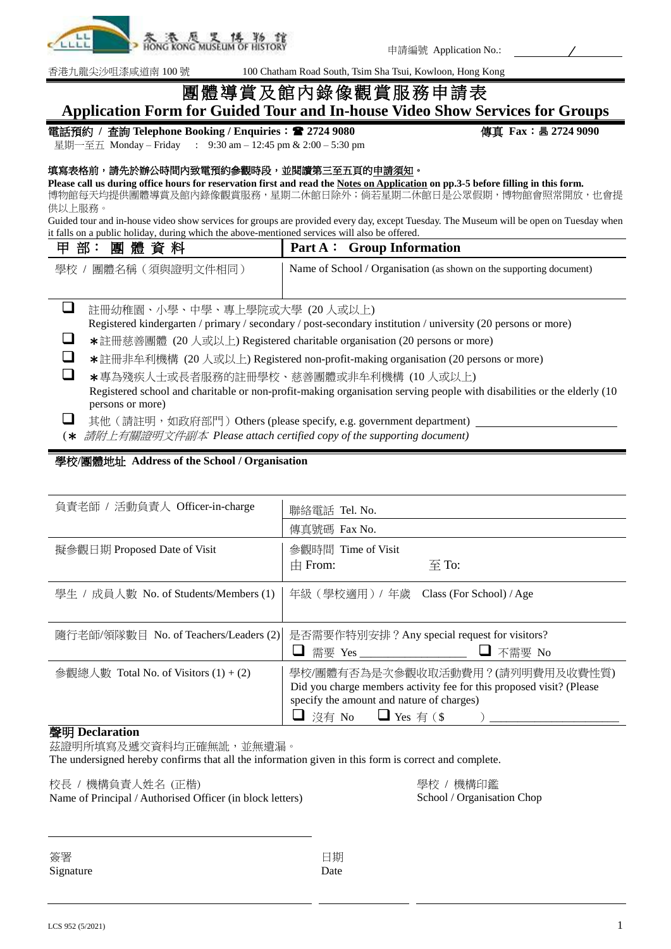

申請編號 Application No.:

香港九龍尖沙咀漆咸道南 100 號 100 Chatham Road South, Tsim Sha Tsui, Kowloon, Hong Kong

# 團體導賞及館內錄像觀賞服務申請表 **Application Form for Guided Tour and In-house Video Show Services for Groups**

### 電話預約 **/** 查詢 **Telephone Booking / Enquiries**: **2724 9080** 傳真 **Fax**: **2724 9090**

星期一至五 Monday – Friday : 9:30 am – 12:45 pm & 2:00 – 5:30 pm

### 填寫表格前,請先於辦公時間內致電預約參觀時段,並閱讀第三至五頁的申請須知。

**Please call us during office hours for reservation first and read the Notes on Application on pp.3-5 before filling in this form.**

博物館每天均提供團體導賞及館內錄像觀賞服務,星期二休館日除外;倘若星期二休館日是公眾假期,博物館會照常開放,也會提 供以上服務。

Guided tour and in-house video show services for groups are provided every day, except Tuesday. The Museum will be open on Tuesday when it falls on a public holiday, during which the above-mentioned services will also be offered.

| 甲部:團體資料              | Part A: Group Information                                           |
|----------------------|---------------------------------------------------------------------|
| 學校<br>團體名稱(須與證明文件相同) | Name of School / Organisation (as shown on the supporting document) |
|                      |                                                                     |

□ 註冊幼稚園、小學、中學、專上學院或大學 (20 人或以上)

Registered kindergarten / primary / secondary / post-secondary institution / university (20 persons or more)

■ **\***註冊慈善團體 (20 人或以上) Registered charitable organisation (20 persons or more)

■ **\***註冊非牟利機構 (20 人或以上) Registered non-profit-making organisation (20 persons or more)

□ \*專為殘疾人士或長者服務的註冊學校、慈善團體或非牟利機構 (10 人或以上) Registered school and charitable or non-profit-making organisation serving people with disabilities or the elderly (10 persons or more)

**□** 其他 (請註明, 如政府部門) Others (please specify, e.g. government department)

(\* 請附上有關證明文件副本 *Please attach certified copy of the supporting document)*

# 學校**/**團體地址 **Address of the School / Organisation**

| 負責老師 / 活動負責人 Officer-in-charge        | 聯絡電話 Tel. No.                                                              |                                                                                                         |
|---------------------------------------|----------------------------------------------------------------------------|---------------------------------------------------------------------------------------------------------|
|                                       | 傳真號碼 Fax No.                                                               |                                                                                                         |
| 擬參觀日期 Proposed Date of Visit          | 參觀時間 Time of Visit<br>$\pm$ From:                                          | $\overline{\oplus}$ To:                                                                                 |
| 學生 / 成員人數 No. of Students/Members (1) | 年級 (學校適用) / 年歲 Class (For School) / Age                                    |                                                                                                         |
| 隨行老師/領隊數目 No. of Teachers/Leaders (2) | ┙                                                                          | 是否需要作特別安排?Any special request for visitors?                                                             |
| 參觀總人數 Total No. of Visitors (1) + (2) | specify the amount and nature of charges)<br>$\Box$ 沒有 No $\Box$ Yes 有 (\$ | 學校/團體有否為是次參觀收取活動費用?(請列明費用及收費性質)<br>Did you charge members activity fee for this proposed visit? (Please |

# 聲明 **Declaration**

茲證明所填寫及遞交資料均正確無訛,並無遺漏。

The undersigned hereby confirms that all the information given in this form is correct and complete.

校長 / 機構負責人姓名 (正楷)

Name of Principal / Authorised Officer (in block letters)

學校 / 機構印鑑 School / Organisation Chop

| 簽署        |
|-----------|
| Signature |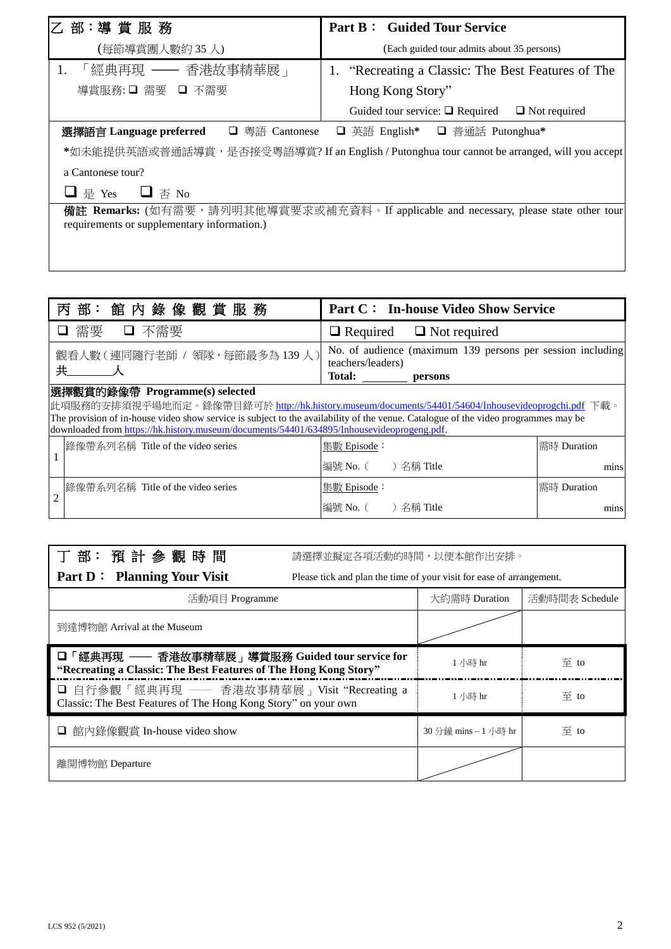| 乙 部:導 賞 服 務                                                                                                                          | <b>Part B: Guided Tour Service</b>                       |  |  |  |
|--------------------------------------------------------------------------------------------------------------------------------------|----------------------------------------------------------|--|--|--|
| (每節導賞團人數約35人)                                                                                                                        | (Each guided tour admits about 35 persons)               |  |  |  |
| 「經典再現 ―― 香港故事精華展 」<br>1.                                                                                                             | 1. "Recreating a Classic: The Best Features of The       |  |  |  |
| 導賞服務: ❏ 需要 _ ❑ 不需要                                                                                                                   | Hong Kong Story"                                         |  |  |  |
|                                                                                                                                      | Guided tour service: $\Box$ Required $\Box$ Not required |  |  |  |
| 選擇語言 Language preferred □ 粵語 Cantonese<br>□ 英語 English* □ 普通話 Putonghua*                                                             |                                                          |  |  |  |
| *如未能提供英語或普通話導賞,是否接受粵語導賞? If an English / Putonghua tour cannot be arranged, will you accept                                          |                                                          |  |  |  |
| a Cantonese tour?                                                                                                                    |                                                          |  |  |  |
| $\Box$ $\overline{\land}$ No<br>□ 是 Yes                                                                                              |                                                          |  |  |  |
| 備註 Remarks: (如有需要,請列明其他導賞要求或補充資料。If applicable and necessary, please state other tour<br>requirements or supplementary information.) |                                                          |  |  |  |

|                                                                                                                                                                                                                                                                                                                                                                        | 部:館內錄像觀賞服務<br>丙                   | <b>Part C: In-house Video Show Service</b>                                                           |             |  |
|------------------------------------------------------------------------------------------------------------------------------------------------------------------------------------------------------------------------------------------------------------------------------------------------------------------------------------------------------------------------|-----------------------------------|------------------------------------------------------------------------------------------------------|-------------|--|
|                                                                                                                                                                                                                                                                                                                                                                        | 需要<br>□ 不需要                       | $\Box$ Required $\Box$ Not required                                                                  |             |  |
| 共                                                                                                                                                                                                                                                                                                                                                                      | 觀看人數(連同隨行老師 / 領隊,每節最多為139人)       | No. of audience (maximum 139 persons per session including<br>teachers/leaders)<br>Total:<br>persons |             |  |
| 選擇觀賞的錄像帶 Programme(s) selected<br>此項服務的安排須視乎場地而定。錄像帶目錄可於 http://hk.history.museum/documents/54401/54604/Inhousevideoprogchi.pdf 下載。<br>The provision of in-house video show service is subject to the availability of the venue. Catalogue of the video programmes may be<br>downloaded from https://hk.history.museum/documents/54401/634895/Inhousevideoprogeng.pdf. |                                   |                                                                                                      |             |  |
|                                                                                                                                                                                                                                                                                                                                                                        | 錄像帶系列名稱 Title of the video series | 集數 Episode:                                                                                          | 需時 Duration |  |
|                                                                                                                                                                                                                                                                                                                                                                        |                                   | ) 名稱 Title<br>編號 No. (                                                                               | mins        |  |
|                                                                                                                                                                                                                                                                                                                                                                        | 錄像帶系列名稱 Title of the video series | 集數 Episode:                                                                                          | 需時 Duration |  |
|                                                                                                                                                                                                                                                                                                                                                                        |                                   | 編號 No. (<br>)名稱 Title                                                                                | mins        |  |

| 丁部: 預計參觀時間                                                                                                          | 請選擇並擬定各項活動的時間,以便本館作出安排。                                              |                      |                        |
|---------------------------------------------------------------------------------------------------------------------|----------------------------------------------------------------------|----------------------|------------------------|
| <b>Part D:</b> Planning Your Visit                                                                                  | Please tick and plan the time of your visit for ease of arrangement. |                      |                        |
| 活動項目 Programme                                                                                                      |                                                                      | 大約需時 Duration        | 活動時間表 Schedule         |
| 到達博物館 Arrival at the Museum                                                                                         |                                                                      |                      |                        |
| □ 「經典再現 ── 香港故事精華展」導賞服務 Guided tour service for<br>"Recreating a Classic: The Best Features of The Hong Kong Story" |                                                                      | 1 小時 hr              | 至 to                   |
| □ 自行參觀「經典再現 –– 香港故事精華展」Visit "Recreating a<br>Classic: The Best Features of The Hong Kong Story" on your own        |                                                                      | 1 小時 hr              | 至 to                   |
| □ 館內錄像觀賞 In-house video show                                                                                        |                                                                      | 30 分鐘 mins – 1 小時 hr | $\overline{\oplus}$ to |
| 離開博物館 Departure                                                                                                     |                                                                      |                      |                        |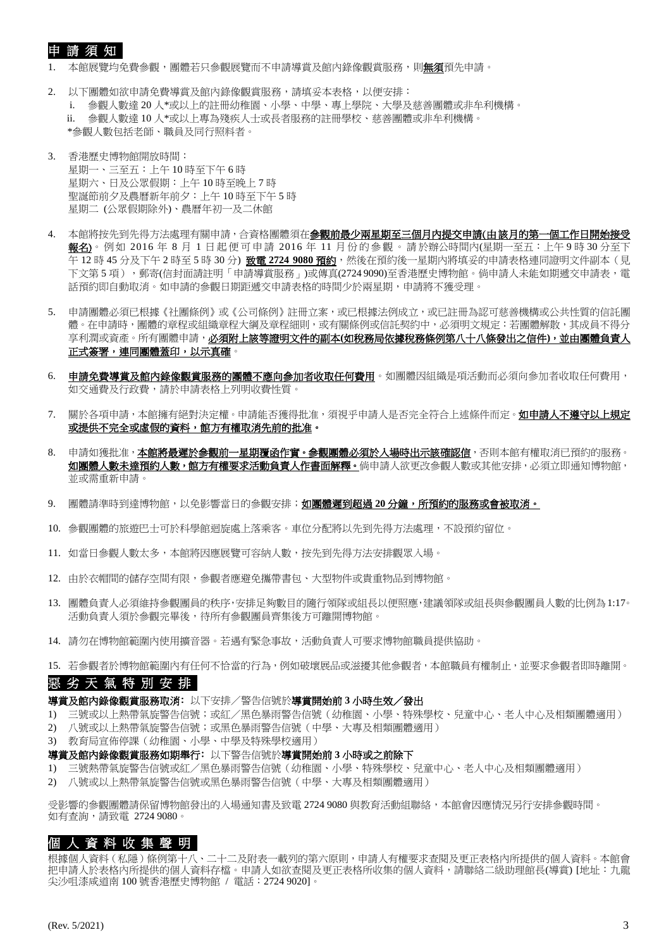# 申 請 須 知

1. 本館展覽均免費參觀,團體若只參觀展覽而不申請導賞及館內錄像觀賞服務,則**無須**預先申請。

- 2. 以下團體如欲申請免費導賞及館內錄像觀賞服務,請填妥本表格,以便安排: i. 參觀人數達 20 人\*或以上的註冊幼稚園、小學、中學、專上學院、大學及慈善團體或非牟利機構。 ii. 參觀人數達 10 人\*或以上專為殘疾人士或長者服務的註冊學校、慈善團體或非牟利機構。 \*參觀人數包括老師、職員及同行照料者。
- 3. 香港歷史博物館開放時間: 星期一、三至五:上午 10 時至下午 6 時 星期六、日及公眾假期:上午 10 時至晚上 7 時 聖誕節前夕及農曆新年前夕:上午 10 時至下午 5 時 星期二 (公眾假期除外)、農曆年初一及二休館
- 4. 本館將按先到先得方法處理有關申請,合資格團體須在<mark>參觀前最少兩星期至三個月內提交申請(由該月的第一個工作日開始接受</mark> 報名)。例如 2016年8月1日起便可申請 2016年 11月份的參觀。請於辦公時間內(星期一至五:上午9時30分至下 午 12 時 45 分及下午 2 時至 5 時 30 分) 致電 2724 9080 預約,然後在預約後一星期內將填妥的申請表格連同證明文件副本(見 下文第 5 項), 郵寄(信封面請註明「申請導賞服務」)或傳真(2724 9090)至香港歷史博物館。倘申請人未能如期遞交申請表,電 話預約即自動取消。如申請的參觀日期距遞交申請表格的時間少於兩星期,申請將不獲受理。
- 5. 申請團體必須已根據《社團條例》或《公司條例》註冊立案,或已根據法例成立,或已註冊為認可慈善機構或公共性質的信託團 體。在申請時,團體的章程或組織章程大綱及章程細則,或有關條例或信託契約中,必須明文規定:若團體解散,其成員不得分 享利潤或資產。所有團體申請,必須附上該等證明文件的副本**(**如稅務局依據稅務條例第八十八條發出之信件**)**,並由團體負責人 正式簽署,連同團體蓋印,以示真確。
- 6. 申請免費導賞及館內錄像觀賞服務的團體不應向參加者收取任何費用。如團體因組織是項活動而必須向參加者收取任何費用, 如交通費及行政費,請於申請表格上列明收費性質。
- 7. 關於各項申請,本館擁有絕對決定權。申請能否獲得批准,須視乎申請人是否完全符合上述條件而定。如申**請人不遵守以上規定** 或提供不完全或虛假的資料,館方有權取消先前的批准。
- 8. 申請如獲批准,本館將最遲於參觀前一星期覆函作實。參觀團體必須於入場時出示該確認信,否則本館有權取消已預約的服務。 如團體人數未達預約人數,館方有權要求活動負責人作書面解釋。倘申請人欲更改參觀人數或其他安排,必須立即通知博物館, 並或需重新申請。
- 9. 團體請準時到達博物館,以免影響當日的參觀安排; **如團體遲到超過 20 分鐘, 所預約的服務或會被取消。**
- 10. 參觀團體的旅遊巴士可於科學館迴旋處上落乘客。車位分配將以先到先得方法處理,不設預約留位。
- 11. 如當日參觀人數太多,本館將因應展覽可容納人數,按先到先得方法安排觀眾入場。
- 12. 由於衣帽間的儲存空間有限,參觀者應避免攜帶書包、大型物件或貴重物品到博物館。
- 13. 團體負責人必須維持參觀團員的秩序,安排足夠數目的隨行領隊或組長以便照應,建議領隊或組長與參觀團員人數的比例為1:17。 活動負責人須於參觀完畢後,待所有參觀團員齊集後方可離開博物館。
- 14. 請勿在博物館範圍內使用擴音器。若遇有緊急事故,活動負責人可要求博物館職員提供協助。
- 15. 若參觀者於博物館範圍內有任何不恰當的行為,例如破壞展品或滋擾其他參觀者,本館職員有權制止,並要求參觀者即時離開。

# 惡 劣 天 氣 特 別 安 排

#### 導賞及館內錄像觀賞服務取消﹕以下安排/警告信號於導賞開始前 **3** 小時生效/發出

- 1) 三號或以上熱帶氣旋警告信號;或紅/黑色暴雨警告信號(幼稚園、小學、特殊學校、兒童中心、老人中心及相類團體適用)
- 2) 八號或以上熱帶氣旋警告信號;或黑色暴雨警告信號(中學、大專及相類團體適用)
- 3) 教育局宣佈停課(幼稚園、小學、中學及特殊學校適用)

#### 導賞及館內錄像觀賞服務如期舉行﹕以下警告信號於導賞開始前 **3** 小時或之前除下

- 1) 三號熱帶氣旋警告信號或紅/黑色暴雨警告信號(幼稚園、小學、特殊學校、兒童中心、老人中心及相類團體適用)
- 2) 八號或以上熱帶氣旋警告信號或黑色暴雨警告信號(中學、大專及相類團體適用)

受影響的參觀團體請保留博物館發出的入場通知書及致電 2724 9080 與教育活動組聯絡,本館會因應情況另行安排參觀時間。 如有查詢,請致電 2724 9080。

# 個 人 資 料 收 集 聲 明

根據個人資料(私隱)條例第十八、二十二及附表一載列的第六原則,申請人有權要求查閱及更正表格內所提供的個人資料。本館會 把申請人於表格內所提供的個人資料存檔。申請人如欲查閱及更正表格所收集的個人資料,請聯絡二級助理館長(導賞) [地址:九龍 尖沙咀漆咸道南 100 號香港歷史博物館 / 電話:2724 9020]。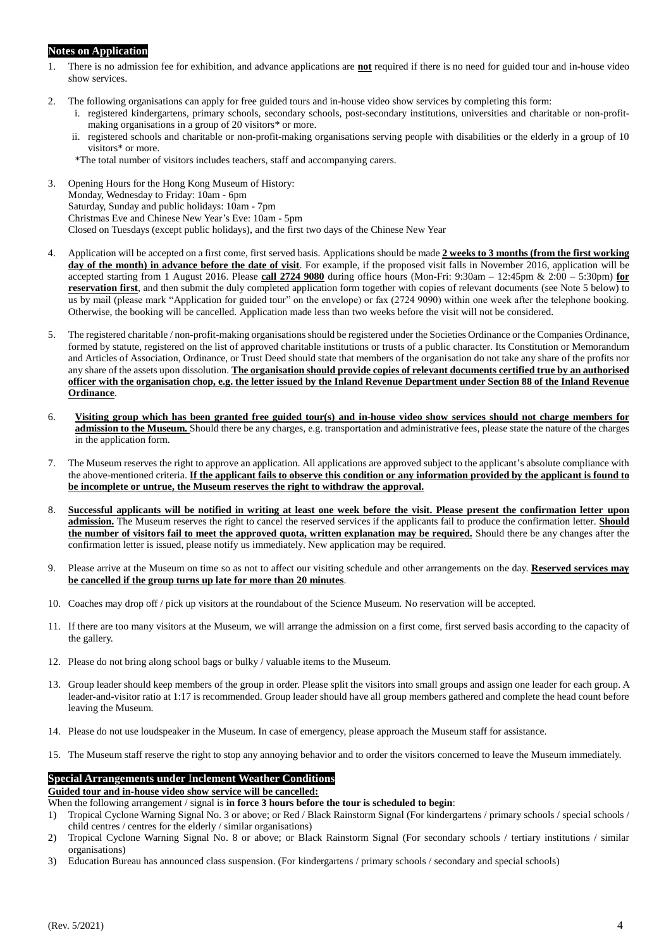### **Notes on Application**

- 1. There is no admission fee for exhibition, and advance applications are **not** required if there is no need for guided tour and in-house video show services.
- 2. The following organisations can apply for free guided tours and in-house video show services by completing this form:
	- i. registered kindergartens, primary schools, secondary schools, post-secondary institutions, universities and charitable or non-profitmaking organisations in a group of 20 visitors\* or more.
	- ii. registered schools and charitable or non-profit-making organisations serving people with disabilities or the elderly in a group of 10 visitors\* or more.
	- \*The total number of visitors includes teachers, staff and accompanying carers.
- 3. Opening Hours for the Hong Kong Museum of History: Monday, Wednesday to Friday: 10am - 6pm Saturday, Sunday and public holidays: 10am - 7pm Christmas Eve and Chinese New Year's Eve: 10am - 5pm Closed on Tuesdays (except public holidays), and the first two days of the Chinese New Year
- 4. Application will be accepted on a first come, first served basis. Applications should be made **2 weeks to 3 months (from the first working day of the month) in advance before the date of visit**. For example, if the proposed visit falls in November 2016, application will be accepted starting from 1 August 2016. Please **call 2724 9080** during office hours (Mon-Fri: 9:30am – 12:45pm & 2:00 – 5:30pm) **for reservation first**, and then submit the duly completed application form together with copies of relevant documents (see Note 5 below) to us by mail (please mark "Application for guided tour" on the envelope) or fax (2724 9090) within one week after the telephone booking. Otherwise, the booking will be cancelled. Application made less than two weeks before the visit will not be considered.
- 5. The registered charitable / non-profit-making organisations should be registered under the Societies Ordinance or the Companies Ordinance, formed by statute, registered on the list of approved charitable institutions or trusts of a public character. Its Constitution or Memorandum and Articles of Association, Ordinance, or Trust Deed should state that members of the organisation do not take any share of the profits nor any share of the assets upon dissolution. **The organisation should provide copies of relevant documents certified true by an authorised officer with the organisation chop, e.g. the letter issued by the Inland Revenue Department under Section 88 of the Inland Revenue Ordinance**.
- 6. **Visiting group which has been granted free guided tour(s) and in-house video show services should not charge members for admission to the Museum.** Should there be any charges, e.g. transportation and administrative fees, please state the nature of the charges in the application form.
- 7. The Museum reserves the right to approve an application. All applications are approved subject to the applicant's absolute compliance with the above-mentioned criteria. **If the applicant fails to observe this condition or any information provided by the applicant is found to be incomplete or untrue, the Museum reserves the right to withdraw the approval.**
- 8. **Successful applicants will be notified in writing at least one week before the visit. Please present the confirmation letter upon admission.** The Museum reserves the right to cancel the reserved services if the applicants fail to produce the confirmation letter. **Should the number of visitors fail to meet the approved quota, written explanation may be required.** Should there be any changes after the confirmation letter is issued, please notify us immediately. New application may be required.
- 9. Please arrive at the Museum on time so as not to affect our visiting schedule and other arrangements on the day. **Reserved services may be cancelled if the group turns up late for more than 20 minutes**.
- 10. Coaches may drop off / pick up visitors at the roundabout of the Science Museum. No reservation will be accepted.
- 11. If there are too many visitors at the Museum, we will arrange the admission on a first come, first served basis according to the capacity of the gallery.
- 12. Please do not bring along school bags or bulky / valuable items to the Museum.
- 13. Group leader should keep members of the group in order. Please split the visitors into small groups and assign one leader for each group. A leader-and-visitor ratio at 1:17 is recommended. Group leader should have all group members gathered and complete the head count before leaving the Museum.
- 14. Please do not use loudspeaker in the Museum. In case of emergency, please approach the Museum staff for assistance.
- 15. The Museum staff reserve the right to stop any annoying behavior and to order the visitors concerned to leave the Museum immediately.

### **Special Arrangements under** I**nclement Weather Conditions**

**Guided tour and in-house video show service will be cancelled:**

When the following arrangement / signal is **in force 3 hours before the tour is scheduled to begin**:

- 1) Tropical Cyclone Warning Signal No. 3 or above; or Red / Black Rainstorm Signal (For kindergartens / primary schools / special schools / child centres / centres for the elderly / similar organisations)
- 2) Tropical Cyclone Warning Signal No. 8 or above; or Black Rainstorm Signal (For secondary schools / tertiary institutions / similar organisations)
- 3) Education Bureau has announced class suspension. (For kindergartens / primary schools / secondary and special schools)